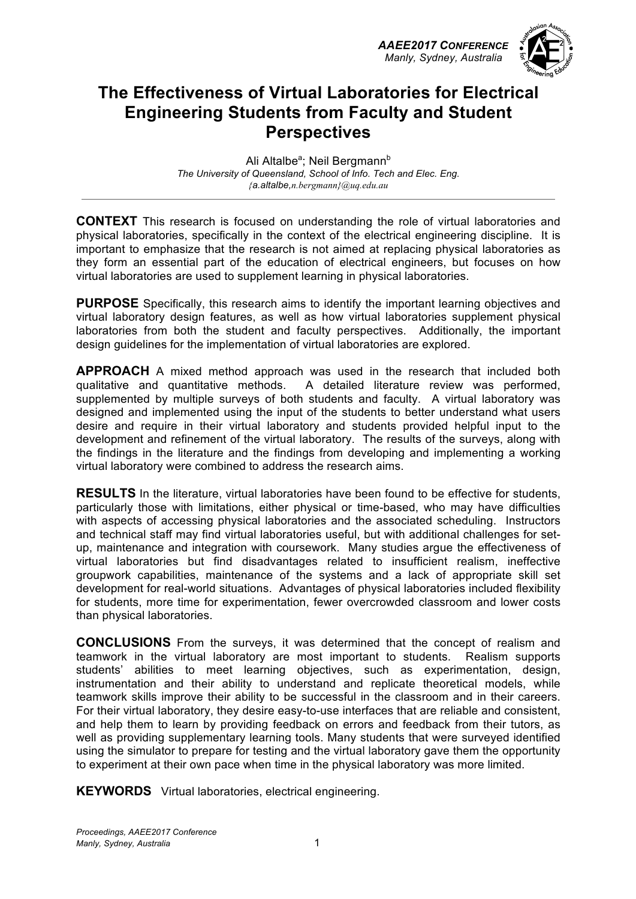*AAEE2017 CONFERENCE Manly, Sydney, Australia*



### **The Effectiveness of Virtual Laboratories for Electrical Engineering Students from Faculty and Student Perspectives**

Ali Altalbe<sup>a</sup>; Neil Bergmann<sup>b</sup> *The University of Queensland, School of Info. Tech and Elec. Eng. {a.altalbe,n.bergmann}@uq.edu.au* 

**CONTEXT** This research is focused on understanding the role of virtual laboratories and physical laboratories, specifically in the context of the electrical engineering discipline. It is important to emphasize that the research is not aimed at replacing physical laboratories as they form an essential part of the education of electrical engineers, but focuses on how virtual laboratories are used to supplement learning in physical laboratories.

**PURPOSE** Specifically, this research aims to identify the important learning objectives and virtual laboratory design features, as well as how virtual laboratories supplement physical laboratories from both the student and faculty perspectives. Additionally, the important design guidelines for the implementation of virtual laboratories are explored.

**APPROACH** A mixed method approach was used in the research that included both qualitative and quantitative methods. A detailed literature review was performed, supplemented by multiple surveys of both students and faculty. A virtual laboratory was designed and implemented using the input of the students to better understand what users desire and require in their virtual laboratory and students provided helpful input to the development and refinement of the virtual laboratory. The results of the surveys, along with the findings in the literature and the findings from developing and implementing a working virtual laboratory were combined to address the research aims.

**RESULTS** In the literature, virtual laboratories have been found to be effective for students, particularly those with limitations, either physical or time-based, who may have difficulties with aspects of accessing physical laboratories and the associated scheduling. Instructors and technical staff may find virtual laboratories useful, but with additional challenges for setup, maintenance and integration with coursework. Many studies argue the effectiveness of virtual laboratories but find disadvantages related to insufficient realism, ineffective groupwork capabilities, maintenance of the systems and a lack of appropriate skill set development for real-world situations. Advantages of physical laboratories included flexibility for students, more time for experimentation, fewer overcrowded classroom and lower costs than physical laboratories.

**CONCLUSIONS** From the surveys, it was determined that the concept of realism and teamwork in the virtual laboratory are most important to students. Realism supports students' abilities to meet learning objectives, such as experimentation, design, instrumentation and their ability to understand and replicate theoretical models, while teamwork skills improve their ability to be successful in the classroom and in their careers. For their virtual laboratory, they desire easy-to-use interfaces that are reliable and consistent, and help them to learn by providing feedback on errors and feedback from their tutors, as well as providing supplementary learning tools. Many students that were surveyed identified using the simulator to prepare for testing and the virtual laboratory gave them the opportunity to experiment at their own pace when time in the physical laboratory was more limited.

**KEYWORDS** Virtual laboratories, electrical engineering.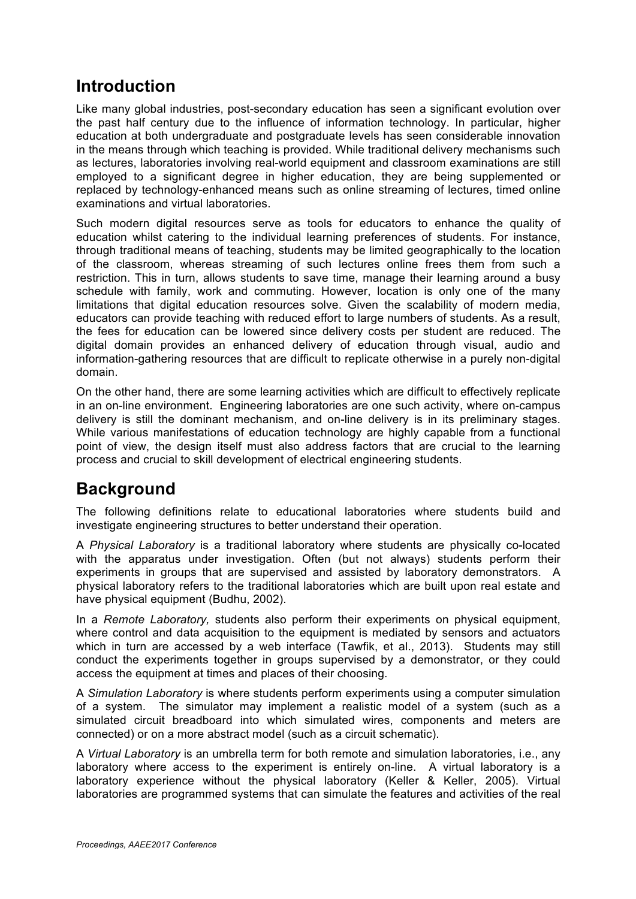### **Introduction**

Like many global industries, post-secondary education has seen a significant evolution over the past half century due to the influence of information technology. In particular, higher education at both undergraduate and postgraduate levels has seen considerable innovation in the means through which teaching is provided. While traditional delivery mechanisms such as lectures, laboratories involving real-world equipment and classroom examinations are still employed to a significant degree in higher education, they are being supplemented or replaced by technology-enhanced means such as online streaming of lectures, timed online examinations and virtual laboratories.

Such modern digital resources serve as tools for educators to enhance the quality of education whilst catering to the individual learning preferences of students. For instance, through traditional means of teaching, students may be limited geographically to the location of the classroom, whereas streaming of such lectures online frees them from such a restriction. This in turn, allows students to save time, manage their learning around a busy schedule with family, work and commuting. However, location is only one of the many limitations that digital education resources solve. Given the scalability of modern media, educators can provide teaching with reduced effort to large numbers of students. As a result, the fees for education can be lowered since delivery costs per student are reduced. The digital domain provides an enhanced delivery of education through visual, audio and information-gathering resources that are difficult to replicate otherwise in a purely non-digital domain.

On the other hand, there are some learning activities which are difficult to effectively replicate in an on-line environment. Engineering laboratories are one such activity, where on-campus delivery is still the dominant mechanism, and on-line delivery is in its preliminary stages. While various manifestations of education technology are highly capable from a functional point of view, the design itself must also address factors that are crucial to the learning process and crucial to skill development of electrical engineering students.

## **Background**

The following definitions relate to educational laboratories where students build and investigate engineering structures to better understand their operation.

A *Physical Laboratory* is a traditional laboratory where students are physically co-located with the apparatus under investigation. Often (but not always) students perform their experiments in groups that are supervised and assisted by laboratory demonstrators. A physical laboratory refers to the traditional laboratories which are built upon real estate and have physical equipment (Budhu, 2002).

In a *Remote Laboratory,* students also perform their experiments on physical equipment, where control and data acquisition to the equipment is mediated by sensors and actuators which in turn are accessed by a web interface (Tawfik, et al., 2013). Students may still conduct the experiments together in groups supervised by a demonstrator, or they could access the equipment at times and places of their choosing.

A *Simulation Laboratory* is where students perform experiments using a computer simulation of a system. The simulator may implement a realistic model of a system (such as a simulated circuit breadboard into which simulated wires, components and meters are connected) or on a more abstract model (such as a circuit schematic).

A *Virtual Laboratory* is an umbrella term for both remote and simulation laboratories, i.e., any laboratory where access to the experiment is entirely on-line. A virtual laboratory is a laboratory experience without the physical laboratory (Keller & Keller, 2005). Virtual laboratories are programmed systems that can simulate the features and activities of the real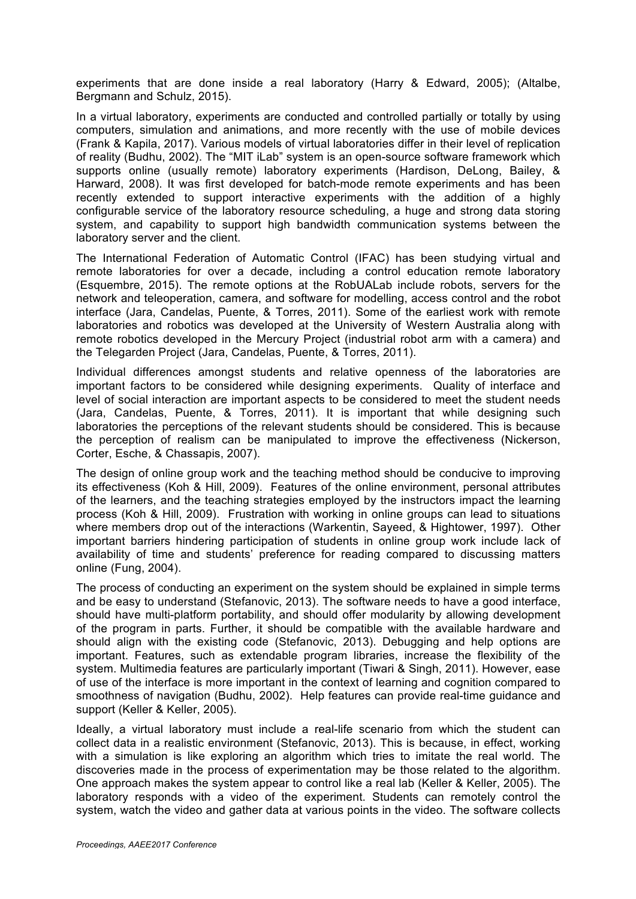experiments that are done inside a real laboratory (Harry & Edward, 2005); (Altalbe, Bergmann and Schulz, 2015).

In a virtual laboratory, experiments are conducted and controlled partially or totally by using computers, simulation and animations, and more recently with the use of mobile devices (Frank & Kapila, 2017). Various models of virtual laboratories differ in their level of replication of reality (Budhu, 2002). The "MIT iLab" system is an open-source software framework which supports online (usually remote) laboratory experiments (Hardison, DeLong, Bailey, & Harward, 2008). It was first developed for batch-mode remote experiments and has been recently extended to support interactive experiments with the addition of a highly configurable service of the laboratory resource scheduling, a huge and strong data storing system, and capability to support high bandwidth communication systems between the laboratory server and the client.

The International Federation of Automatic Control (IFAC) has been studying virtual and remote laboratories for over a decade, including a control education remote laboratory (Esquembre, 2015). The remote options at the RobUALab include robots, servers for the network and teleoperation, camera, and software for modelling, access control and the robot interface (Jara, Candelas, Puente, & Torres, 2011). Some of the earliest work with remote laboratories and robotics was developed at the University of Western Australia along with remote robotics developed in the Mercury Project (industrial robot arm with a camera) and the Telegarden Project (Jara, Candelas, Puente, & Torres, 2011).

Individual differences amongst students and relative openness of the laboratories are important factors to be considered while designing experiments. Quality of interface and level of social interaction are important aspects to be considered to meet the student needs (Jara, Candelas, Puente, & Torres, 2011). It is important that while designing such laboratories the perceptions of the relevant students should be considered. This is because the perception of realism can be manipulated to improve the effectiveness (Nickerson, Corter, Esche, & Chassapis, 2007).

The design of online group work and the teaching method should be conducive to improving its effectiveness (Koh & Hill, 2009). Features of the online environment, personal attributes of the learners, and the teaching strategies employed by the instructors impact the learning process (Koh & Hill, 2009). Frustration with working in online groups can lead to situations where members drop out of the interactions (Warkentin, Sayeed, & Hightower, 1997). Other important barriers hindering participation of students in online group work include lack of availability of time and students' preference for reading compared to discussing matters online (Fung, 2004).

The process of conducting an experiment on the system should be explained in simple terms and be easy to understand (Stefanovic, 2013). The software needs to have a good interface, should have multi-platform portability, and should offer modularity by allowing development of the program in parts. Further, it should be compatible with the available hardware and should align with the existing code (Stefanovic, 2013). Debugging and help options are important. Features, such as extendable program libraries, increase the flexibility of the system. Multimedia features are particularly important (Tiwari & Singh, 2011). However, ease of use of the interface is more important in the context of learning and cognition compared to smoothness of navigation (Budhu, 2002). Help features can provide real-time guidance and support (Keller & Keller, 2005).

Ideally, a virtual laboratory must include a real-life scenario from which the student can collect data in a realistic environment (Stefanovic, 2013). This is because, in effect, working with a simulation is like exploring an algorithm which tries to imitate the real world. The discoveries made in the process of experimentation may be those related to the algorithm. One approach makes the system appear to control like a real lab (Keller & Keller, 2005). The laboratory responds with a video of the experiment. Students can remotely control the system, watch the video and gather data at various points in the video. The software collects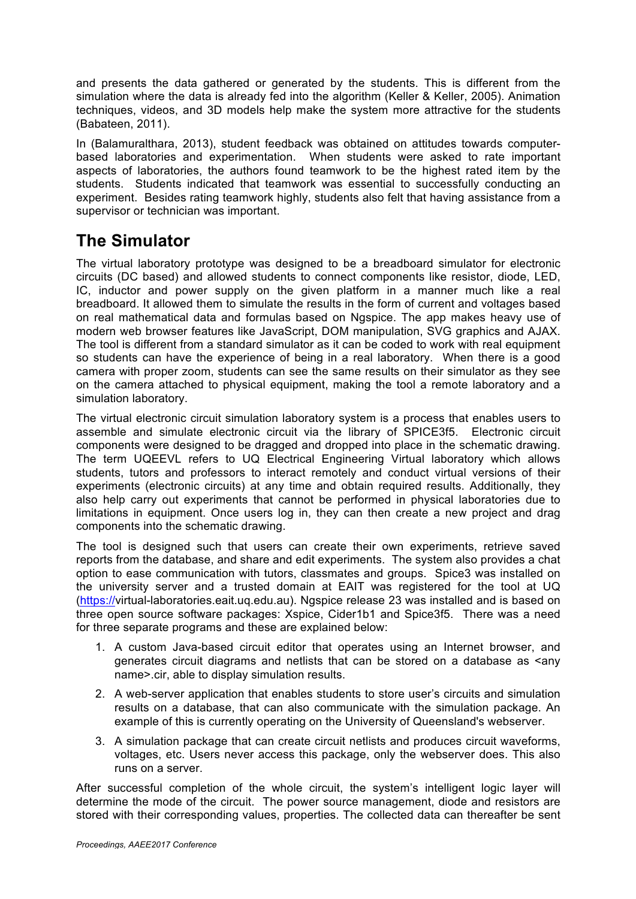and presents the data gathered or generated by the students. This is different from the simulation where the data is already fed into the algorithm (Keller & Keller, 2005). Animation techniques, videos, and 3D models help make the system more attractive for the students (Babateen, 2011).

In (Balamuralthara, 2013), student feedback was obtained on attitudes towards computerbased laboratories and experimentation. When students were asked to rate important aspects of laboratories, the authors found teamwork to be the highest rated item by the students. Students indicated that teamwork was essential to successfully conducting an experiment. Besides rating teamwork highly, students also felt that having assistance from a supervisor or technician was important.

# **The Simulator**

The virtual laboratory prototype was designed to be a breadboard simulator for electronic circuits (DC based) and allowed students to connect components like resistor, diode, LED, IC, inductor and power supply on the given platform in a manner much like a real breadboard. It allowed them to simulate the results in the form of current and voltages based on real mathematical data and formulas based on Ngspice. The app makes heavy use of modern web browser features like JavaScript, DOM manipulation, SVG graphics and AJAX. The tool is different from a standard simulator as it can be coded to work with real equipment so students can have the experience of being in a real laboratory. When there is a good camera with proper zoom, students can see the same results on their simulator as they see on the camera attached to physical equipment, making the tool a remote laboratory and a simulation laboratory.

The virtual electronic circuit simulation laboratory system is a process that enables users to assemble and simulate electronic circuit via the library of SPICE3f5. Electronic circuit components were designed to be dragged and dropped into place in the schematic drawing. The term UQEEVL refers to UQ Electrical Engineering Virtual laboratory which allows students, tutors and professors to interact remotely and conduct virtual versions of their experiments (electronic circuits) at any time and obtain required results. Additionally, they also help carry out experiments that cannot be performed in physical laboratories due to limitations in equipment. Once users log in, they can then create a new project and drag components into the schematic drawing.

The tool is designed such that users can create their own experiments, retrieve saved reports from the database, and share and edit experiments. The system also provides a chat option to ease communication with tutors, classmates and groups. Spice3 was installed on the university server and a trusted domain at EAIT was registered for the tool at UQ (https://virtual-laboratories.eait.uq.edu.au). Ngspice release 23 was installed and is based on three open source software packages: Xspice, Cider1b1 and Spice3f5. There was a need for three separate programs and these are explained below:

- 1. A custom Java-based circuit editor that operates using an Internet browser, and generates circuit diagrams and netlists that can be stored on a database as <any name>.cir, able to display simulation results.
- 2. A web-server application that enables students to store user's circuits and simulation results on a database, that can also communicate with the simulation package. An example of this is currently operating on the University of Queensland's webserver.
- 3. A simulation package that can create circuit netlists and produces circuit waveforms, voltages, etc. Users never access this package, only the webserver does. This also runs on a server.

After successful completion of the whole circuit, the system's intelligent logic layer will determine the mode of the circuit. The power source management, diode and resistors are stored with their corresponding values, properties. The collected data can thereafter be sent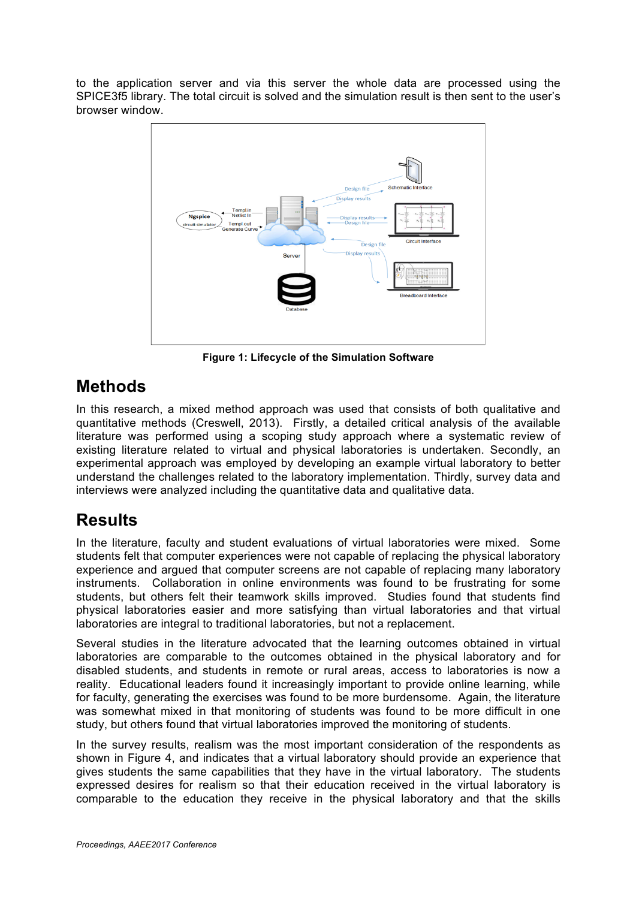to the application server and via this server the whole data are processed using the SPICE3f5 library. The total circuit is solved and the simulation result is then sent to the user's browser window.



**Figure 1: Lifecycle of the Simulation Software**

## **Methods**

In this research, a mixed method approach was used that consists of both qualitative and quantitative methods (Creswell, 2013). Firstly, a detailed critical analysis of the available literature was performed using a scoping study approach where a systematic review of existing literature related to virtual and physical laboratories is undertaken. Secondly, an experimental approach was employed by developing an example virtual laboratory to better understand the challenges related to the laboratory implementation. Thirdly, survey data and interviews were analyzed including the quantitative data and qualitative data.

# **Results**

In the literature, faculty and student evaluations of virtual laboratories were mixed. Some students felt that computer experiences were not capable of replacing the physical laboratory experience and argued that computer screens are not capable of replacing many laboratory instruments. Collaboration in online environments was found to be frustrating for some students, but others felt their teamwork skills improved. Studies found that students find physical laboratories easier and more satisfying than virtual laboratories and that virtual laboratories are integral to traditional laboratories, but not a replacement.

Several studies in the literature advocated that the learning outcomes obtained in virtual laboratories are comparable to the outcomes obtained in the physical laboratory and for disabled students, and students in remote or rural areas, access to laboratories is now a reality. Educational leaders found it increasingly important to provide online learning, while for faculty, generating the exercises was found to be more burdensome. Again, the literature was somewhat mixed in that monitoring of students was found to be more difficult in one study, but others found that virtual laboratories improved the monitoring of students.

In the survey results, realism was the most important consideration of the respondents as shown in Figure 4, and indicates that a virtual laboratory should provide an experience that gives students the same capabilities that they have in the virtual laboratory. The students expressed desires for realism so that their education received in the virtual laboratory is comparable to the education they receive in the physical laboratory and that the skills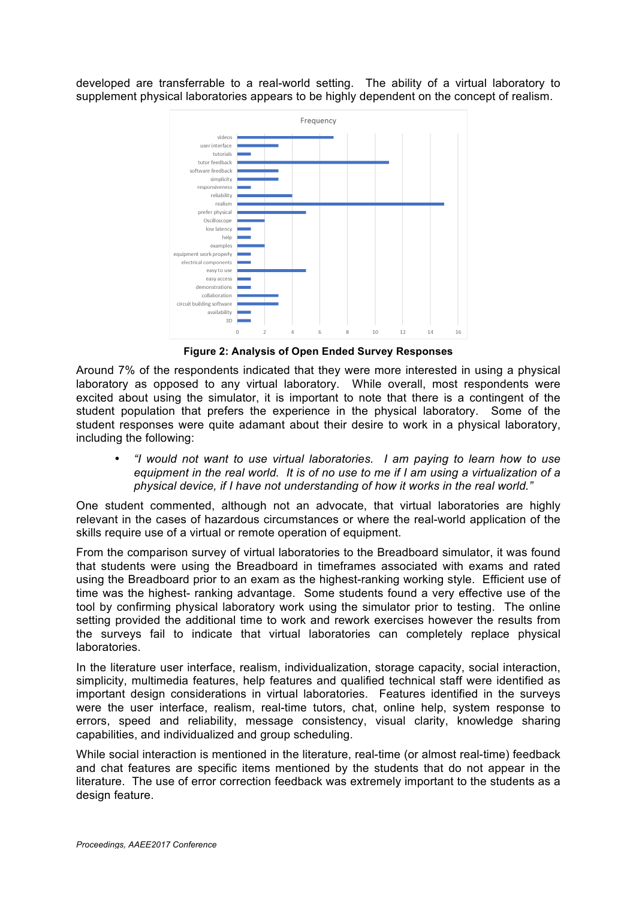developed are transferrable to a real-world setting. The ability of a virtual laboratory to supplement physical laboratories appears to be highly dependent on the concept of realism.



**Figure 2: Analysis of Open Ended Survey Responses**

Around 7% of the respondents indicated that they were more interested in using a physical laboratory as opposed to any virtual laboratory. While overall, most respondents were excited about using the simulator, it is important to note that there is a contingent of the student population that prefers the experience in the physical laboratory. Some of the student responses were quite adamant about their desire to work in a physical laboratory, including the following:

• *"I would not want to use virtual laboratories. I am paying to learn how to use equipment in the real world. It is of no use to me if I am using a virtualization of a physical device, if I have not understanding of how it works in the real world."*

One student commented, although not an advocate, that virtual laboratories are highly relevant in the cases of hazardous circumstances or where the real-world application of the skills require use of a virtual or remote operation of equipment.

From the comparison survey of virtual laboratories to the Breadboard simulator, it was found that students were using the Breadboard in timeframes associated with exams and rated using the Breadboard prior to an exam as the highest-ranking working style. Efficient use of time was the highest- ranking advantage. Some students found a very effective use of the tool by confirming physical laboratory work using the simulator prior to testing. The online setting provided the additional time to work and rework exercises however the results from the surveys fail to indicate that virtual laboratories can completely replace physical laboratories.

In the literature user interface, realism, individualization, storage capacity, social interaction, simplicity, multimedia features, help features and qualified technical staff were identified as important design considerations in virtual laboratories. Features identified in the surveys were the user interface, realism, real-time tutors, chat, online help, system response to errors, speed and reliability, message consistency, visual clarity, knowledge sharing capabilities, and individualized and group scheduling.

While social interaction is mentioned in the literature, real-time (or almost real-time) feedback and chat features are specific items mentioned by the students that do not appear in the literature. The use of error correction feedback was extremely important to the students as a design feature.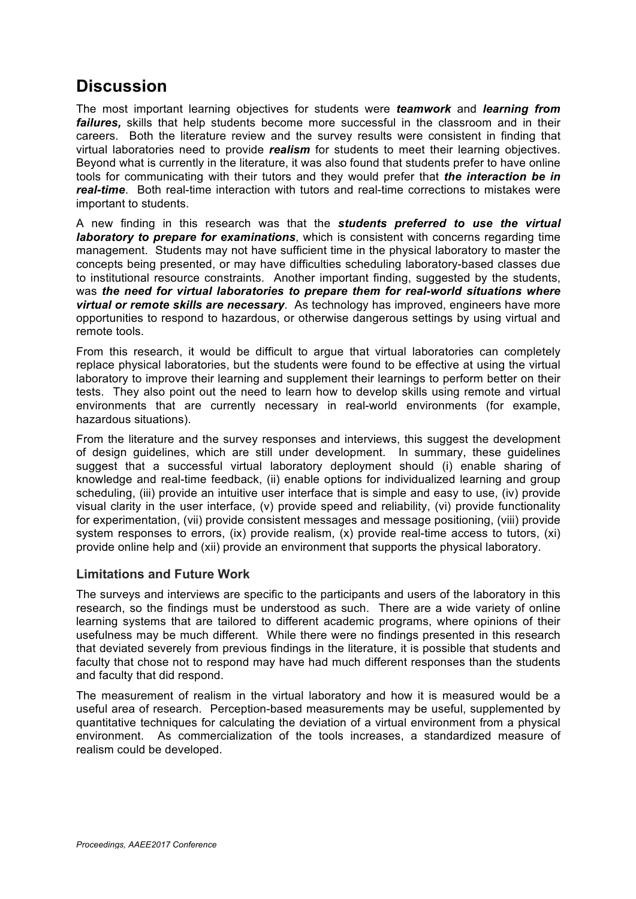#### **Discussion**

The most important learning objectives for students were *teamwork* and *learning from failures,* skills that help students become more successful in the classroom and in their careers. Both the literature review and the survey results were consistent in finding that virtual laboratories need to provide *realism* for students to meet their learning objectives. Beyond what is currently in the literature, it was also found that students prefer to have online tools for communicating with their tutors and they would prefer that *the interaction be in real-time*. Both real-time interaction with tutors and real-time corrections to mistakes were important to students.

A new finding in this research was that the *students preferred to use the virtual laboratory to prepare for examinations*, which is consistent with concerns regarding time management. Students may not have sufficient time in the physical laboratory to master the concepts being presented, or may have difficulties scheduling laboratory-based classes due to institutional resource constraints. Another important finding, suggested by the students, was *the need for virtual laboratories to prepare them for real-world situations where virtual or remote skills are necessary*. As technology has improved, engineers have more opportunities to respond to hazardous, or otherwise dangerous settings by using virtual and remote tools.

From this research, it would be difficult to argue that virtual laboratories can completely replace physical laboratories, but the students were found to be effective at using the virtual laboratory to improve their learning and supplement their learnings to perform better on their tests. They also point out the need to learn how to develop skills using remote and virtual environments that are currently necessary in real-world environments (for example, hazardous situations).

From the literature and the survey responses and interviews, this suggest the development of design guidelines, which are still under development. In summary, these guidelines suggest that a successful virtual laboratory deployment should (i) enable sharing of knowledge and real-time feedback, (ii) enable options for individualized learning and group scheduling, (iii) provide an intuitive user interface that is simple and easy to use, (iv) provide visual clarity in the user interface, (v) provide speed and reliability, (vi) provide functionality for experimentation, (vii) provide consistent messages and message positioning, (viii) provide system responses to errors, (ix) provide realism, (x) provide real-time access to tutors, (xi) provide online help and (xii) provide an environment that supports the physical laboratory.

#### **Limitations and Future Work**

The surveys and interviews are specific to the participants and users of the laboratory in this research, so the findings must be understood as such. There are a wide variety of online learning systems that are tailored to different academic programs, where opinions of their usefulness may be much different. While there were no findings presented in this research that deviated severely from previous findings in the literature, it is possible that students and faculty that chose not to respond may have had much different responses than the students and faculty that did respond.

The measurement of realism in the virtual laboratory and how it is measured would be a useful area of research. Perception-based measurements may be useful, supplemented by quantitative techniques for calculating the deviation of a virtual environment from a physical environment. As commercialization of the tools increases, a standardized measure of realism could be developed.